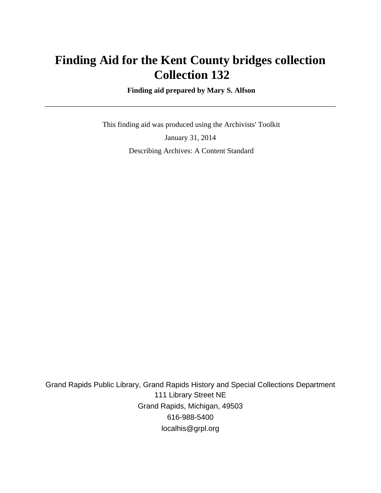# **Finding Aid for the Kent County bridges collection Collection 132**

 **Finding aid prepared by Mary S. Alfson**

 This finding aid was produced using the Archivists' Toolkit January 31, 2014 Describing Archives: A Content Standard

Grand Rapids Public Library, Grand Rapids History and Special Collections Department 111 Library Street NE Grand Rapids, Michigan, 49503 616-988-5400 localhis@grpl.org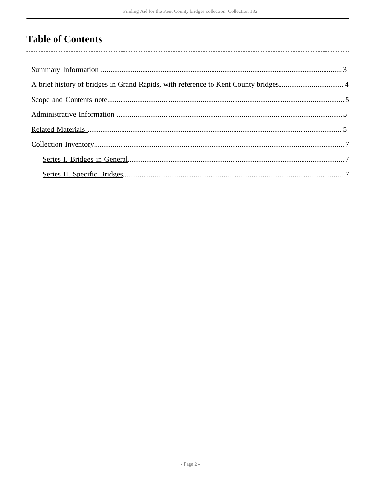## **Table of Contents**

l,

| A brief history of bridges in Grand Rapids, with reference to Kent County bridges 4 |
|-------------------------------------------------------------------------------------|
|                                                                                     |
|                                                                                     |
|                                                                                     |
|                                                                                     |
|                                                                                     |
|                                                                                     |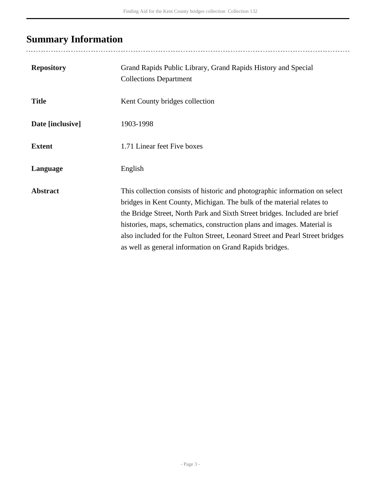# <span id="page-2-0"></span>**Summary Information**

...................................

| <b>Repository</b> | Grand Rapids Public Library, Grand Rapids History and Special<br><b>Collections Department</b>                                                                                                                                                                                                                                                                                                                                                           |
|-------------------|----------------------------------------------------------------------------------------------------------------------------------------------------------------------------------------------------------------------------------------------------------------------------------------------------------------------------------------------------------------------------------------------------------------------------------------------------------|
| <b>Title</b>      | Kent County bridges collection                                                                                                                                                                                                                                                                                                                                                                                                                           |
| Date [inclusive]  | 1903-1998                                                                                                                                                                                                                                                                                                                                                                                                                                                |
| <b>Extent</b>     | 1.71 Linear feet Five boxes                                                                                                                                                                                                                                                                                                                                                                                                                              |
| Language          | English                                                                                                                                                                                                                                                                                                                                                                                                                                                  |
| <b>Abstract</b>   | This collection consists of historic and photographic information on select<br>bridges in Kent County, Michigan. The bulk of the material relates to<br>the Bridge Street, North Park and Sixth Street bridges. Included are brief<br>histories, maps, schematics, construction plans and images. Material is<br>also included for the Fulton Street, Leonard Street and Pearl Street bridges<br>as well as general information on Grand Rapids bridges. |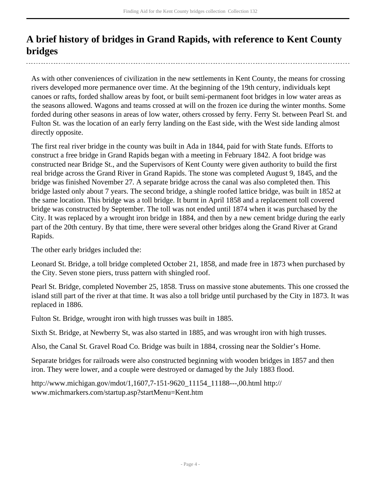### <span id="page-3-0"></span>**A brief history of bridges in Grand Rapids, with reference to Kent County bridges**

As with other conveniences of civilization in the new settlements in Kent County, the means for crossing rivers developed more permanence over time. At the beginning of the 19th century, individuals kept canoes or rafts, forded shallow areas by foot, or built semi-permanent foot bridges in low water areas as the seasons allowed. Wagons and teams crossed at will on the frozen ice during the winter months. Some forded during other seasons in areas of low water, others crossed by ferry. Ferry St. between Pearl St. and Fulton St. was the location of an early ferry landing on the East side, with the West side landing almost directly opposite.

The first real river bridge in the county was built in Ada in 1844, paid for with State funds. Efforts to construct a free bridge in Grand Rapids began with a meeting in February 1842. A foot bridge was constructed near Bridge St., and the Supervisors of Kent County were given authority to build the first real bridge across the Grand River in Grand Rapids. The stone was completed August 9, 1845, and the bridge was finished November 27. A separate bridge across the canal was also completed then. This bridge lasted only about 7 years. The second bridge, a shingle roofed lattice bridge, was built in 1852 at the same location. This bridge was a toll bridge. It burnt in April 1858 and a replacement toll covered bridge was constructed by September. The toll was not ended until 1874 when it was purchased by the City. It was replaced by a wrought iron bridge in 1884, and then by a new cement bridge during the early part of the 20th century. By that time, there were several other bridges along the Grand River at Grand Rapids.

The other early bridges included the:

Leonard St. Bridge, a toll bridge completed October 21, 1858, and made free in 1873 when purchased by the City. Seven stone piers, truss pattern with shingled roof.

Pearl St. Bridge, completed November 25, 1858. Truss on massive stone abutements. This one crossed the island still part of the river at that time. It was also a toll bridge until purchased by the City in 1873. It was replaced in 1886.

Fulton St. Bridge, wrought iron with high trusses was built in 1885.

Sixth St. Bridge, at Newberry St, was also started in 1885, and was wrought iron with high trusses.

Also, the Canal St. Gravel Road Co. Bridge was built in 1884, crossing near the Soldier's Home.

Separate bridges for railroads were also constructed beginning with wooden bridges in 1857 and then iron. They were lower, and a couple were destroyed or damaged by the July 1883 flood.

http://www.michigan.gov/mdot/1,1607,7-151-9620\_11154\_11188---,00.html http:// www.michmarkers.com/startup.asp?startMenu=Kent.htm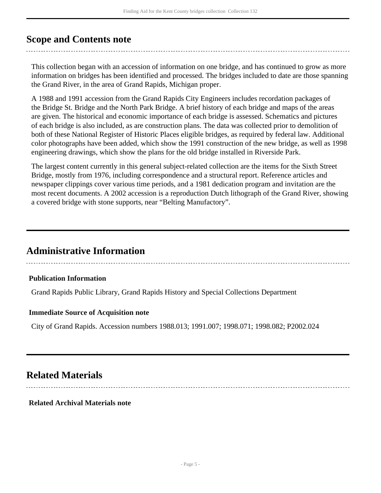### <span id="page-4-0"></span>**Scope and Contents note**

This collection began with an accession of information on one bridge, and has continued to grow as more information on bridges has been identified and processed. The bridges included to date are those spanning the Grand River, in the area of Grand Rapids, Michigan proper.

A 1988 and 1991 accession from the Grand Rapids City Engineers includes recordation packages of the Bridge St. Bridge and the North Park Bridge. A brief history of each bridge and maps of the areas are given. The historical and economic importance of each bridge is assessed. Schematics and pictures of each bridge is also included, as are construction plans. The data was collected prior to demolition of both of these National Register of Historic Places eligible bridges, as required by federal law. Additional color photographs have been added, which show the 1991 construction of the new bridge, as well as 1998 engineering drawings, which show the plans for the old bridge installed in Riverside Park.

The largest content currently in this general subject-related collection are the items for the Sixth Street Bridge, mostly from 1976, including correspondence and a structural report. Reference articles and newspaper clippings cover various time periods, and a 1981 dedication program and invitation are the most recent documents. A 2002 accession is a reproduction Dutch lithograph of the Grand River, showing a covered bridge with stone supports, near "Belting Manufactory".

### <span id="page-4-1"></span>**Administrative Information**

#### **Publication Information**

Grand Rapids Public Library, Grand Rapids History and Special Collections Department

#### **Immediate Source of Acquisition note**

City of Grand Rapids. Accession numbers 1988.013; 1991.007; 1998.071; 1998.082; P2002.024

### <span id="page-4-2"></span>**Related Materials**

**Related Archival Materials note**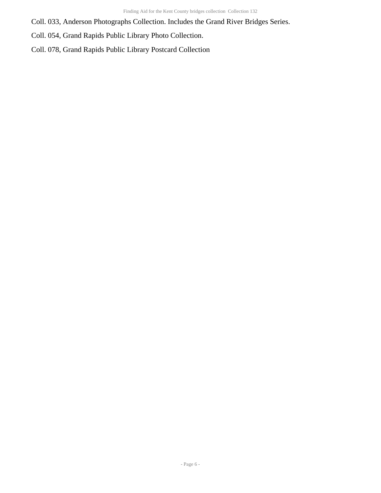Coll. 033, Anderson Photographs Collection. Includes the Grand River Bridges Series.

Coll. 054, Grand Rapids Public Library Photo Collection.

Coll. 078, Grand Rapids Public Library Postcard Collection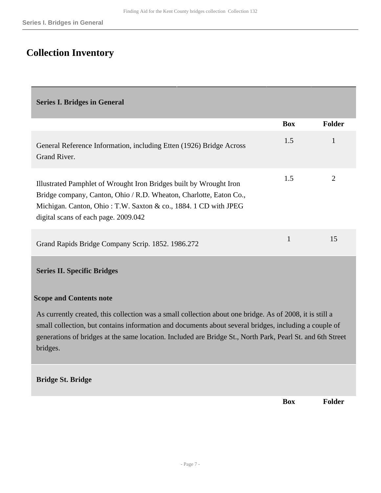### <span id="page-6-0"></span>**Collection Inventory**

#### <span id="page-6-1"></span>**Series I. Bridges in General**

|                                                                                                                                                                                                                                                     | <b>Box</b>   | <b>Folder</b> |
|-----------------------------------------------------------------------------------------------------------------------------------------------------------------------------------------------------------------------------------------------------|--------------|---------------|
| General Reference Information, including Etten (1926) Bridge Across<br>Grand River.                                                                                                                                                                 | 1.5          | 1             |
| Illustrated Pamphlet of Wrought Iron Bridges built by Wrought Iron<br>Bridge company, Canton, Ohio / R.D. Wheaton, Charlotte, Eaton Co.,<br>Michigan. Canton, Ohio: T.W. Saxton & co., 1884. 1 CD with JPEG<br>digital scans of each page. 2009.042 | 1.5          | 2             |
| Grand Rapids Bridge Company Scrip. 1852. 1986.272                                                                                                                                                                                                   | $\mathbf{1}$ | 15            |
| <b>Series II. Specific Bridges</b>                                                                                                                                                                                                                  |              |               |

#### <span id="page-6-2"></span>**Scope and Contents note**

As currently created, this collection was a small collection about one bridge. As of 2008, it is still a small collection, but contains information and documents about several bridges, including a couple of generations of bridges at the same location. Included are Bridge St., North Park, Pearl St. and 6th Street bridges.

#### **Bridge St. Bridge**

**Box Folder**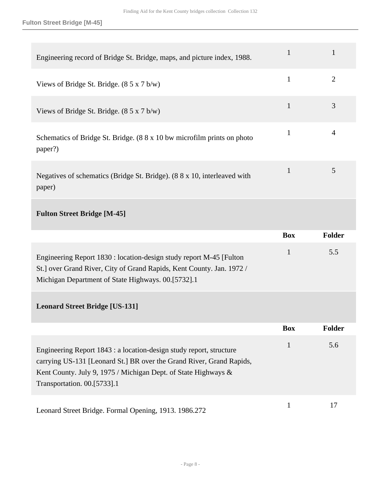**Fulton Street Bridge [M-45]**

| Engineering record of Bridge St. Bridge, maps, and picture index, 1988.                                                                                                                                                                      | 1            | 1              |
|----------------------------------------------------------------------------------------------------------------------------------------------------------------------------------------------------------------------------------------------|--------------|----------------|
| Views of Bridge St. Bridge. $(85 \times 7 \text{ b/w})$                                                                                                                                                                                      | $\mathbf{1}$ | $\overline{2}$ |
| Views of Bridge St. Bridge. $(85 \times 7 \text{ b/w})$                                                                                                                                                                                      | $\mathbf{1}$ | 3              |
| Schematics of Bridge St. Bridge. (8 8 x 10 bw microfilm prints on photo<br>paper?)                                                                                                                                                           | $\mathbf{1}$ | 4              |
| Negatives of schematics (Bridge St. Bridge). (8 8 x 10, interleaved with<br>paper)                                                                                                                                                           | $\mathbf{1}$ | 5              |
| <b>Fulton Street Bridge [M-45]</b>                                                                                                                                                                                                           |              |                |
|                                                                                                                                                                                                                                              |              |                |
|                                                                                                                                                                                                                                              | <b>Box</b>   | Folder         |
| Engineering Report 1830 : location-design study report M-45 [Fulton<br>St.] over Grand River, City of Grand Rapids, Kent County. Jan. 1972 /<br>Michigan Department of State Highways. 00.[5732].1                                           | 1            | 5.5            |
| <b>Leonard Street Bridge [US-131]</b>                                                                                                                                                                                                        |              |                |
|                                                                                                                                                                                                                                              | <b>Box</b>   | <b>Folder</b>  |
| Engineering Report 1843 : a location-design study report, structure<br>carrying US-131 [Leonard St.] BR over the Grand River, Grand Rapids,<br>Kent County. July 9, 1975 / Michigan Dept. of State Highways &<br>Transportation. 00.[5733].1 | $\mathbf{1}$ | 5.6            |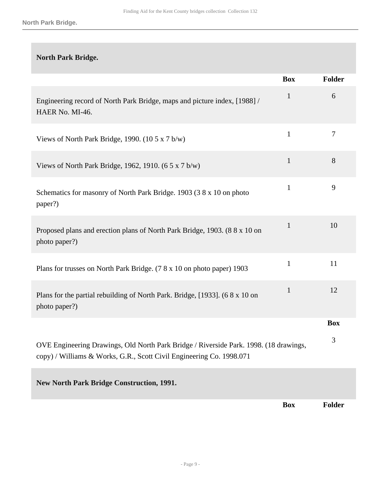# **North Park Bridge. Box Folder** Engineering record of North Park Bridge, maps and picture index, [1988] / HAER No. MI-46. 1 6 Views of North Park Bridge, 1990.  $(10.5 \times 7 \text{ b/w})$  1 7 Views of North Park Bridge, 1962, 1910.  $(6.5 \times 7 \text{ b/w})$  1 Schematics for masonry of North Park Bridge. 1903 (3 8 x 10 on photo paper?) 1 9 Proposed plans and erection plans of North Park Bridge, 1903. (8 8 x 10 on photo paper?) 1 10 Plans for trusses on North Park Bridge. (7 8 x 10 on photo paper) 1903 1 Plans for the partial rebuilding of North Park. Bridge, [1933]. (6 8 x 10 on photo paper?) 1 12 **Box** OVE Engineering Drawings, Old North Park Bridge / Riverside Park. 1998. (18 drawings, copy) / Williams & Works, G.R., Scott Civil Engineering Co. 1998.071 3 **New North Park Bridge Construction, 1991.**

**Box Folder**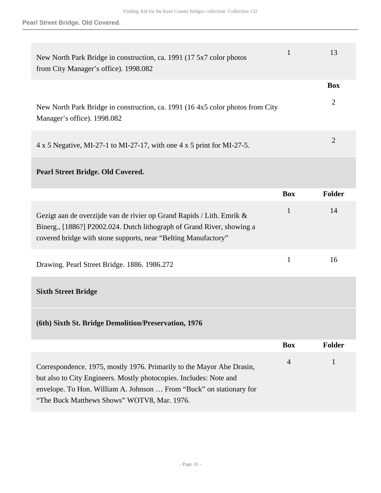**Pearl Street Bridge. Old Covered.**

| New North Park Bridge in construction, ca. 1991 (17 5x7 color photos<br>from City Manager's office). 1998.082                                                                                                                                                     | $\mathbf{1}$   | 13                           |
|-------------------------------------------------------------------------------------------------------------------------------------------------------------------------------------------------------------------------------------------------------------------|----------------|------------------------------|
| New North Park Bridge in construction, ca. 1991 (16 4x5 color photos from City<br>Manager's office). 1998.082                                                                                                                                                     |                | <b>Box</b><br>$\overline{2}$ |
| $4 \times 5$ Negative, MI-27-1 to MI-27-17, with one $4 \times 5$ print for MI-27-5.                                                                                                                                                                              |                | $\overline{2}$               |
| <b>Pearl Street Bridge. Old Covered.</b>                                                                                                                                                                                                                          |                |                              |
|                                                                                                                                                                                                                                                                   | <b>Box</b>     | Folder                       |
| Gezigt aan de overzijde van de rivier op Grand Rapids / Lith. Emrik &<br>Binerg., [1886?] P2002.024. Dutch lithograph of Grand River, showing a<br>covered bridge with stone supports, near "Belting Manufactory"                                                 | $\mathbf{1}$   | 14                           |
| Drawing. Pearl Street Bridge. 1886. 1986.272                                                                                                                                                                                                                      | $\mathbf{1}$   | 16                           |
| <b>Sixth Street Bridge</b>                                                                                                                                                                                                                                        |                |                              |
| (6th) Sixth St. Bridge Demolition/Preservation, 1976                                                                                                                                                                                                              |                |                              |
|                                                                                                                                                                                                                                                                   | <b>Box</b>     | <b>Folder</b>                |
| Correspondence. 1975, mostly 1976. Primarily to the Mayor Abe Drasin,<br>but also to City Engineers. Mostly photocopies. Includes: Note and<br>envelope. To Hon. William A. Johnson  From "Buck" on stationary for<br>"The Buck Matthews Shows" WOTV8, Mar. 1976. | $\overline{4}$ | $\mathbf{1}$                 |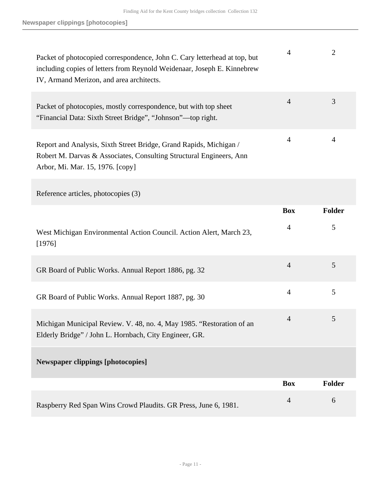| Packet of photocopied correspondence, John C. Cary letterhead at top, but<br>including copies of letters from Reynold Weidenaar, Joseph E. Kinnebrew<br>IV, Armand Merizon, and area architects. | 4              | 2              |
|--------------------------------------------------------------------------------------------------------------------------------------------------------------------------------------------------|----------------|----------------|
| Packet of photocopies, mostly correspondence, but with top sheet<br>"Financial Data: Sixth Street Bridge", "Johnson"—top right.                                                                  | $\overline{4}$ | 3              |
| Report and Analysis, Sixth Street Bridge, Grand Rapids, Michigan /<br>Robert M. Darvas & Associates, Consulting Structural Engineers, Ann<br>Arbor, Mi. Mar. 15, 1976. [copy]                    | $\overline{4}$ | $\overline{A}$ |
| Reference articles, photocopies (3)                                                                                                                                                              |                |                |
|                                                                                                                                                                                                  | <b>Box</b>     | <b>Folder</b>  |
| West Michigan Environmental Action Council. Action Alert, March 23,<br>[1976]                                                                                                                    | 4              | 5              |
| GR Board of Public Works. Annual Report 1886, pg. 32                                                                                                                                             | $\overline{4}$ | 5              |
| GR Board of Public Works. Annual Report 1887, pg. 30                                                                                                                                             | $\overline{4}$ | 5              |
|                                                                                                                                                                                                  |                | 5              |
| Michigan Municipal Review. V. 48, no. 4, May 1985. "Restoration of an<br>Elderly Bridge" / John L. Hornbach, City Engineer, GR.                                                                  | 4              |                |
| <b>Newspaper clippings [photocopies]</b>                                                                                                                                                         |                |                |
|                                                                                                                                                                                                  | <b>Box</b>     | <b>Folder</b>  |